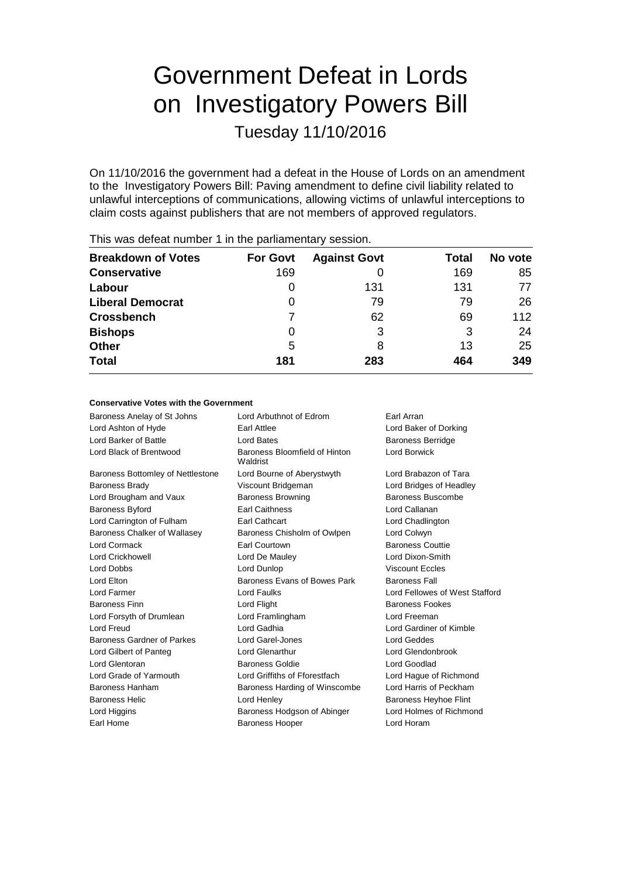# Government Defeat in Lords on Investigatory Powers Bill

Tuesday 11/10/2016

On 11/10/2016 the government had a defeat in the House of Lords on an amendment to the Investigatory Powers Bill: Paving amendment to define civil liability related to unlawful interceptions of communications, allowing victims of unlawful interceptions to claim costs against publishers that are not members of approved regulators.

| <b>Breakdown of Votes</b> | <b>For Govt</b> | <b>Against Govt</b> | Total | No vote |
|---------------------------|-----------------|---------------------|-------|---------|
| <b>Conservative</b>       | 169             |                     | 169   | 85      |
| Labour                    | $\Omega$        | 131                 | 131   | 77      |
| <b>Liberal Democrat</b>   | 0               | 79                  | 79    | 26      |
| <b>Crossbench</b>         |                 | 62                  | 69    | 112     |
| <b>Bishops</b>            | 0               | 3                   | 3     | 24      |
| <b>Other</b>              | 5               | 8                   | 13    | 25      |
| <b>Total</b>              | 181             | 283                 | 464   | 349     |
|                           |                 |                     |       |         |

This was defeat number 1 in the parliamentary session.

### **Conservative Votes with the Government**

| Baroness Anelay of St Johns       | Lord Arbuthnot of Edrom                   | Earl Arran                     |
|-----------------------------------|-------------------------------------------|--------------------------------|
| Lord Ashton of Hyde               | Earl Attlee                               | Lord Baker of Dorking          |
| Lord Barker of Battle             | Lord Bates                                | <b>Baroness Berridge</b>       |
| Lord Black of Brentwood           | Baroness Bloomfield of Hinton<br>Waldrist | Lord Borwick                   |
| Baroness Bottomley of Nettlestone | Lord Bourne of Aberystwyth                | Lord Brabazon of Tara          |
| <b>Baroness Brady</b>             | Viscount Bridgeman                        | Lord Bridges of Headley        |
| Lord Brougham and Vaux            | <b>Baroness Browning</b>                  | Baroness Buscombe              |
| <b>Baroness Byford</b>            | <b>Earl Caithness</b>                     | Lord Callanan                  |
| Lord Carrington of Fulham         | Earl Cathcart                             | Lord Chadlington               |
| Baroness Chalker of Wallasey      | Baroness Chisholm of Owlpen               | Lord Colwyn                    |
| Lord Cormack                      | Earl Courtown                             | <b>Baroness Couttie</b>        |
| <b>Lord Crickhowell</b>           | Lord De Mauley                            | Lord Dixon-Smith               |
| <b>Lord Dobbs</b>                 | Lord Dunlop                               | <b>Viscount Eccles</b>         |
| Lord Elton                        | Baroness Evans of Bowes Park              | <b>Baroness Fall</b>           |
| Lord Farmer                       | <b>Lord Faulks</b>                        | Lord Fellowes of West Stafford |
| Baroness Finn                     | Lord Flight                               | <b>Baroness Fookes</b>         |
| Lord Forsyth of Drumlean          | Lord Framlingham                          | Lord Freeman                   |
| <b>Lord Freud</b>                 | Lord Gadhia                               | Lord Gardiner of Kimble        |
| Baroness Gardner of Parkes        | Lord Garel-Jones                          | Lord Geddes                    |
| Lord Gilbert of Panteg            | Lord Glenarthur                           | Lord Glendonbrook              |
| Lord Glentoran                    | <b>Baroness Goldie</b>                    | <b>Lord Goodlad</b>            |
| Lord Grade of Yarmouth            | Lord Griffiths of Fforestfach             | Lord Hague of Richmond         |
| <b>Baroness Hanham</b>            | Baroness Harding of Winscombe             | Lord Harris of Peckham         |
| Baroness Helic                    | Lord Henley                               | Baroness Heyhoe Flint          |
| Lord Higgins                      | Baroness Hodgson of Abinger               | Lord Holmes of Richmond        |
| Earl Home                         | <b>Baroness Hooper</b>                    | Lord Horam                     |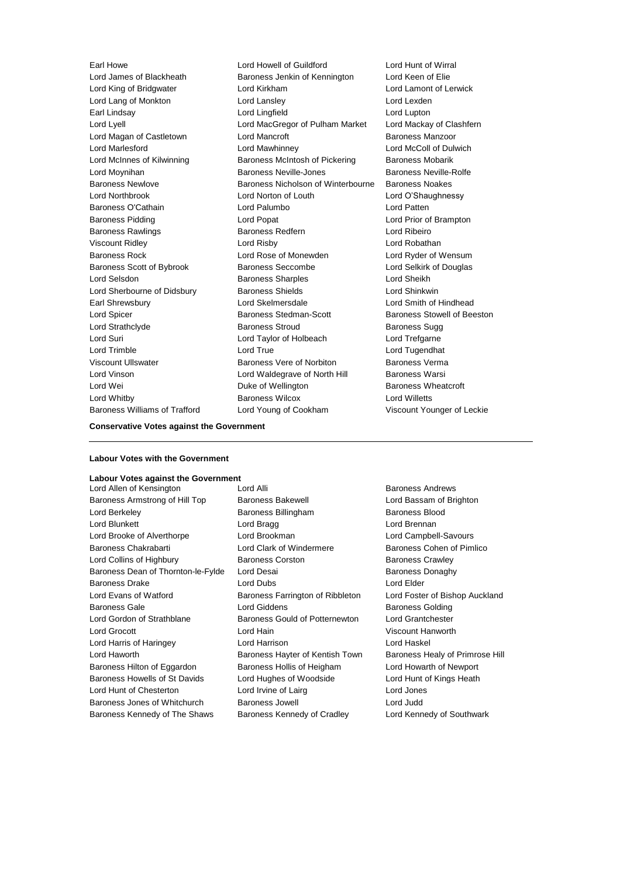Earl Howe Lord Howell of Guildford Lord Hunt of Wirral Lord James of Blackheath Baroness Jenkin of Kennington Lord Keen of Elie Lord King of Bridgwater Lord Kirkham Lord Lamont of Lerwick Lord Lang of Monkton **Lord Lansley** Lord Lexden Earl Lindsay Lord Lingfield Lord Lupton Lord Lyell Lord MacGregor of Pulham Market Lord Mackay of Clashfern Lord Magan of Castletown **Lord Mancroft Baroness Manzoor** Baroness Manzoor Lord Marlesford Lord Mawhinney Lord McColl of Dulwich Lord McInnes of Kilwinning **Baroness McIntosh of Pickering Baroness Mobarik** Lord Moynihan **Baroness Neville-Jones** Baroness Neville-Rolfe Baroness Newlove Baroness Nicholson of Winterbourne Baroness Noakes Lord Northbrook Lord Norton of Louth Lord O'Shaughnessy Baroness O'Cathain Lord Palumbo Lord Patten Baroness Pidding **Lord Popat** Lord Popat Lord Prior of Brampton Baroness Rawlings **Baroness Redfern Baroness Redfern** Lord Ribeiro Viscount Ridley Lord Risby Lord Robathan Baroness Rock Lord Rose of Monewden Lord Ryder of Wensum Baroness Scott of Bybrook Baroness Seccombe Lord Selkirk of Douglas Lord Selsdon Baroness Sharples Lord Sheikh Lord Sherbourne of Didsbury **Baroness Shields Lord Shinkwin** Earl Shrewsbury **Lord Skelmersdale** Lord Shrewsbury **Lord Shrewsbury** Lord Shrewsbury **Lord Shrewsbury** Lord Spicer **Baroness Stedman-Scott** Baroness Stowell of Beeston Lord Strathclyde Baroness Stroud Baroness Sugg Lord Suri Lord Taylor of Holbeach Lord Trefgarne Lord Trimble **Lord True** Lord True Lord Tugendhat Viscount Ullswater Baroness Vere of Norbiton Baroness Verma Lord Vinson Lord Waldegrave of North Hill Baroness Warsi Lord Wei **Duke of Wellington** Baroness Wheatcroft **Duke** of Wellington Lord Whitby Baroness Wilcox Lord Willetts Baroness Williams of Trafford Lord Young of Cookham Viscount Younger of Leckie

### **Conservative Votes against the Government**

#### **Labour Votes with the Government**

# **Labour Votes against the Government**

Baroness Armstrong of Hill Top Baroness Bakewell **Baroness Lord Bassam of Brighton** Lord Berkeley Baroness Billingham Baroness Blood Lord Blunkett **Lord Bragg Lord Bragg Lord Brennan** Lord Brooke of Alverthorpe Lord Brookman Lord Campbell-Savours Baroness Chakrabarti **Lord Clark of Windermere** Baroness Cohen of Pimlico Lord Collins of Highbury **Baroness Corston** Baroness Crawley Baroness Dean of Thornton-le-Fylde Lord Desai **Baroness Danaghy** Baroness Donaghy Baroness Drake Lord Dubs Lord Dubs Lord Elder Lord Evans of Watford **Baroness Farrington of Ribbleton** Lord Foster of Bishop Auckland Baroness Gale **Baroness Golding** Lord Giddens **Baroness Golding** Lord Gordon of Strathblane Baroness Gould of Potternewton Lord Grantchester Lord Grocott Lord Hain Viscount Hanworth Lord Harris of Haringey Lord Harrison Lord Haskel Lord Haworth **Baroness Hayter of Kentish Town** Baroness Healy of Primrose Hill Baroness Hilton of Eggardon Baroness Hollis of Heigham Lord Howarth of Newport Baroness Howells of St Davids Lord Hughes of Woodside Lord Hunt of Kings Heath Lord Hunt of Chesterton Lord Irvine of Lairg Lord Jones Baroness Jones of Whitchurch Baroness Jowell Lord Judd Baroness Kennedy of The Shaws Baroness Kennedy of Cradley Lord Kennedy of Southwark

Lord Allen of Kensington Lord Alli Baroness Andrews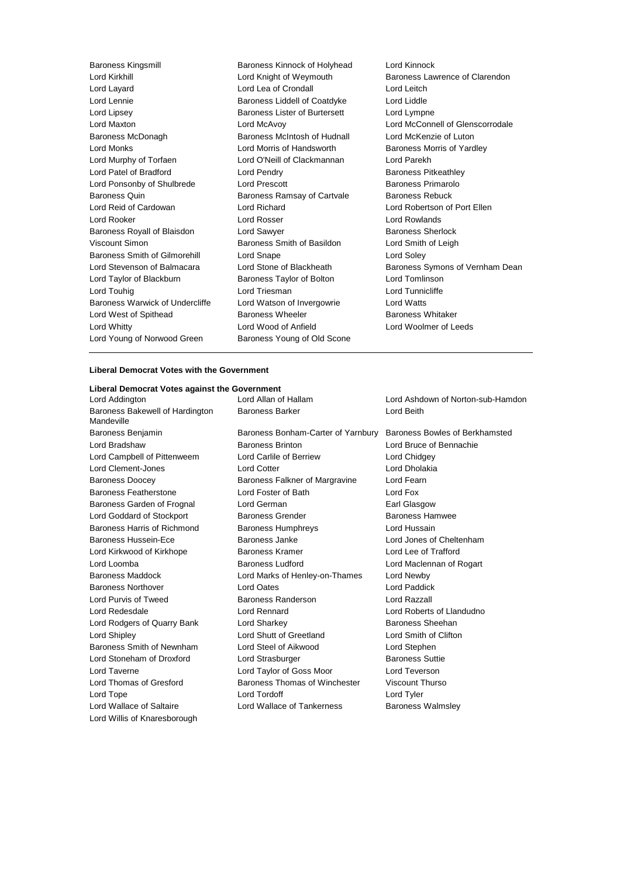Baroness Kingsmill Baroness Kinnock of Holyhead Lord Kinnock Lord Kirkhill Lord Knight of Weymouth Baroness Lawrence of Clarendon Lord Layard Lord Lea of Crondall Lord Leitch Lord Lennie Baroness Liddell of Coatdyke Lord Liddle Lord Lipsey Baroness Lister of Burtersett Lord Lympne Lord Maxton Lord McAvoy Lord McConnell of Glenscorrodale Baroness McDonagh Baroness McIntosh of Hudnall Lord McKenzie of Luton Lord Monks Lord Morris of Handsworth Baroness Morris of Yardley Lord Murphy of Torfaen Lord O'Neill of Clackmannan Lord Parekh Lord Patel of Bradford Lord Pendry Corresponding Baroness Pitkeathley Lord Ponsonby of Shulbrede Lord Prescott **Baroness Primarolo** Baroness Quin Baroness Ramsay of Cartvale Baroness Rebuck Lord Reid of Cardowan Lord Richard Lord Robertson of Port Ellen Lord Rooker Lord Rosser Lord Rowlands Baroness Royall of Blaisdon Lord Sawyer **Baroness Sherlock** Baroness Sherlock Viscount Simon Baroness Smith of Basildon Lord Smith of Leigh Baroness Smith of Gilmorehill Lord Snape Lord Soley Lord Stevenson of Balmacara Lord Stone of Blackheath Baroness Symons of Vernham Dean Lord Taylor of Blackburn Baroness Taylor of Bolton Lord Tomlinson Lord Touhig Lord Triesman Lord Tunnicliffe Baroness Warwick of Undercliffe Lord Watson of Invergowrie Lord Watts Lord West of Spithead Baroness Wheeler Baroness Whitaker Lord Whitty Lord Wood of Anfield Lord Woolmer of Leeds Lord Young of Norwood Green Baroness Young of Old Scone

### **Liberal Democrat Votes with the Government**

### **Liberal Democrat Votes against the Government**

Baroness Bakewell of Hardington Mandeville Lord Wallace of Saltaire **Lord Wallace of Tankerness** Baroness Walmsley Lord Willis of Knaresborough

Baroness Benjamin Baroness Bonham-Carter of Yarnbury Baroness Bowles of Berkhamsted Lord Bradshaw Baroness Brinton Lord Bruce of Bennachie Lord Campbell of Pittenweem Lord Carlile of Berriew Lord Chidgey Lord Clement-Jones Lord Cotter Lord Dholakia Baroness Doocey **Baroness Falkner of Margravine** Lord Fearn Baroness Featherstone Lord Foster of Bath Lord Fox Baroness Garden of Frognal Lord German **Earl Glasgow** Earl Glasgow Lord Goddard of Stockport Baroness Grender Baroness Hamwee Baroness Harris of Richmond Baroness Humphreys Lord Hussain Baroness Hussein-Ece Baroness Janke Lord Jones of Cheltenham Lord Kirkwood of Kirkhope Baroness Kramer Lord Lee of Trafford Lord Loomba Baroness Ludford Lord Maclennan of Rogart Baroness Maddock Lord Marks of Henley-on-Thames Lord Newby Baroness Northover Lord Oates Lord Paddick Lord Purvis of Tweed Baroness Randerson Lord Razzall Lord Redesdale Lord Rennard Lord Roberts of Llandudno Lord Rodgers of Quarry Bank Lord Sharkey **Baroness** Sheehan Lord Shipley Lord Shutt of Greetland Lord Smith of Clifton Baroness Smith of Newnham Lord Steel of Aikwood Lord Stephen Lord Stoneham of Droxford Lord Strasburger Corporation Baroness Suttie Lord Taverne Lord Taylor of Goss Moor Lord Teverson Lord Thomas of Gresford Baroness Thomas of Winchester Viscount Thurso Lord Tope Lord Tordoff Lord Tyler

Lord Addington Lord Allan of Hallam Lord Ashdown of Norton-sub-Hamdon Baroness Barker **Lord Beith**